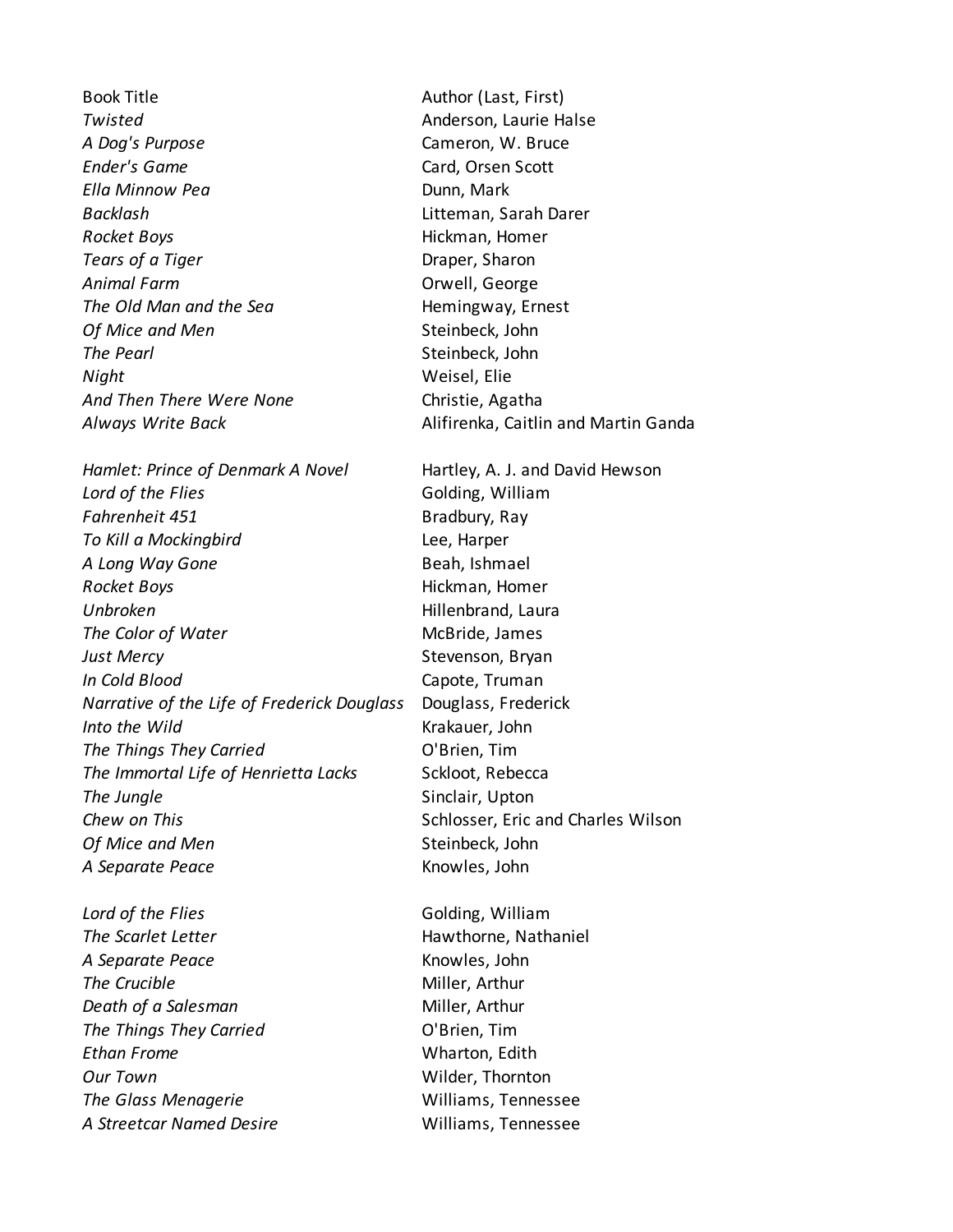Book Title **Author (Last, First) Twisted Anderson**, Laurie Halse *A Dog's Purpose* Cameron, W. Bruce **Ender's Game** Card, Orsen Scott *Ella Minnow Pea* **Dunn, Mark** *Backlash* Litteman, Sarah Darer **Rocket Boys Hickman, Homer** *Tears of a Tiger* **Draper, Sharon Animal Farm** Convell, George *The Old Man and the Sea* **Hemingway, Ernest Of Mice and Men** Steinbeck, John **The Pearl** Steinbeck, John *Night* Weisel, Elie And Then There Were None **Christie**, Agatha

*Hamlet: Prince of Denmark A Novel* Hartley, A. J. and David Hewson *Lord of the Flies* Golding, William **Fahrenheit 451** Bradbury, Ray *To Kill a Mockingbird* Lee, Harper A Long Way Gone **Beah, Ishmael Rocket Boys Hickman, Homer Unbroken Hillenbrand, Laura The Color of Water** McBride, James *Just Mercy* Stevenson, Bryan *In Cold Blood* Capote, Truman *Narrative of the Life of Frederick Douglass* Douglass, Frederick **Into the Wild Krakauer**, John *The Things They Carried* **Carried C'Brien**, Tim The Immortal Life of Henrietta Lacks Sckloot, Rebecca **The Jungle** Sinclair, Upton **Chew on This** Schlosser, Eric and Charles Wilson **Of Mice and Men** Steinbeck, John *A Separate Peace* Knowles, John

**Lord of the Flies Colding, William The Scarlet Letter Hawthorne, Nathaniel** *A Separate Peace* Knowles, John **The Crucible** Miller, Arthur *Death of a Salesman* Miller, Arthur *The Things They Carried* **Carried C'Brien, Tim** *Ethan Frome* Wharton, Edith *Our Town* Wilder, Thornton *The Glass Menagerie* Williams, Tennessee *A Streetcar Named Desire* Williams, Tennessee

*Always Write Back* Alifirenka, Caitlin and Martin Ganda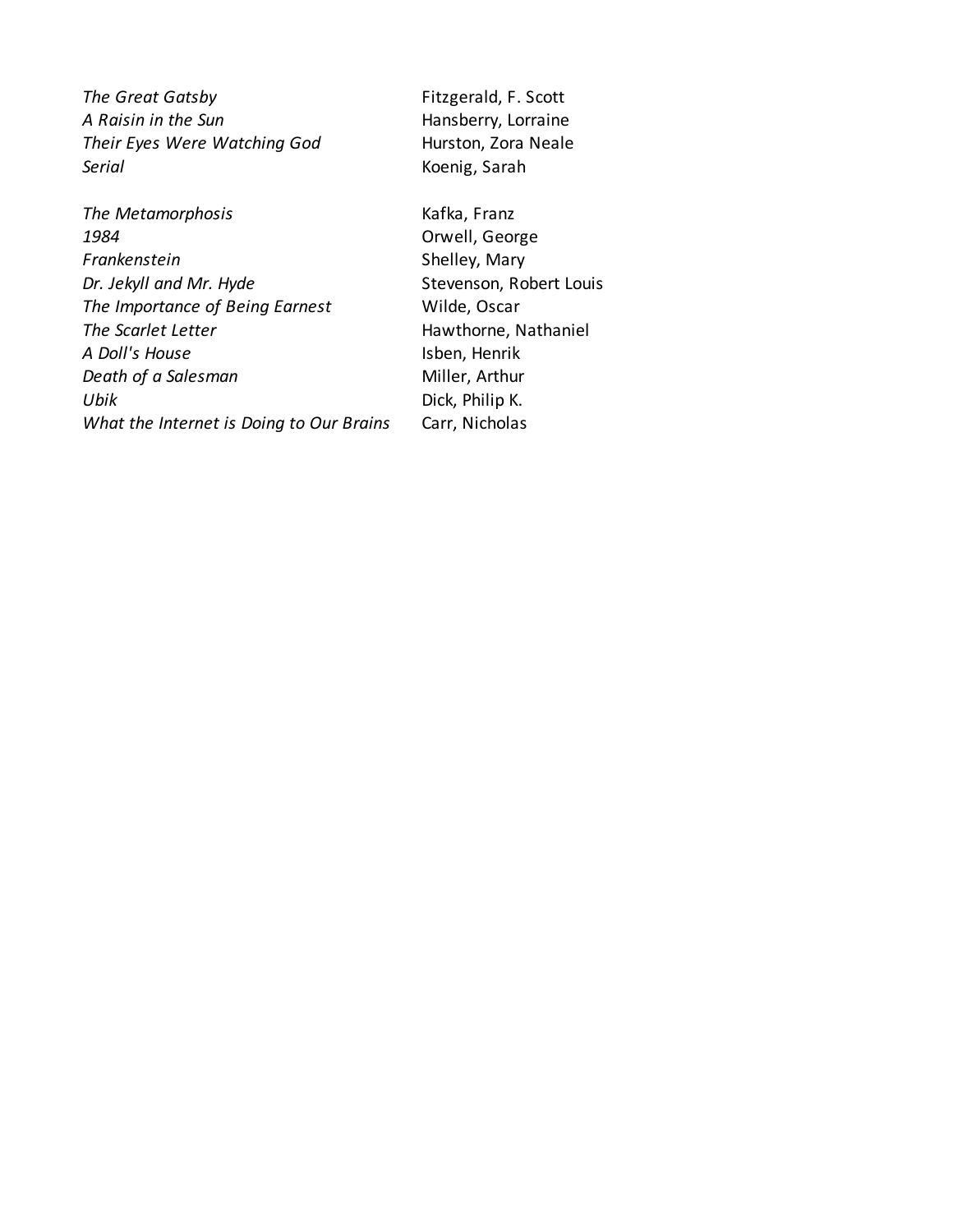**The Great Gatsby** Fitzgerald, F. Scott *A Raisin in the Sun* **Hansberry, Lorraine** *Their Eyes Were Watching God* Hurston, Zora Neale *Serial* Koenig, Sarah

**The Metamorphosis** Kafka, Franz *1984* Orwell, George **Frankenstein** Shelley, Mary *Dr. Jekyll and Mr. Hyde* Stevenson, Robert Louis *The Importance of Being Earnest* Wilde, Oscar **The Scarlet Letter Hawthorne, Nathaniel** *A Doll's House* Isben, Henrik **Death of a Salesman** Miller, Arthur *Ubik* Dick, Philip K. *What the Internet is Doing to Our Brains* Carr, Nicholas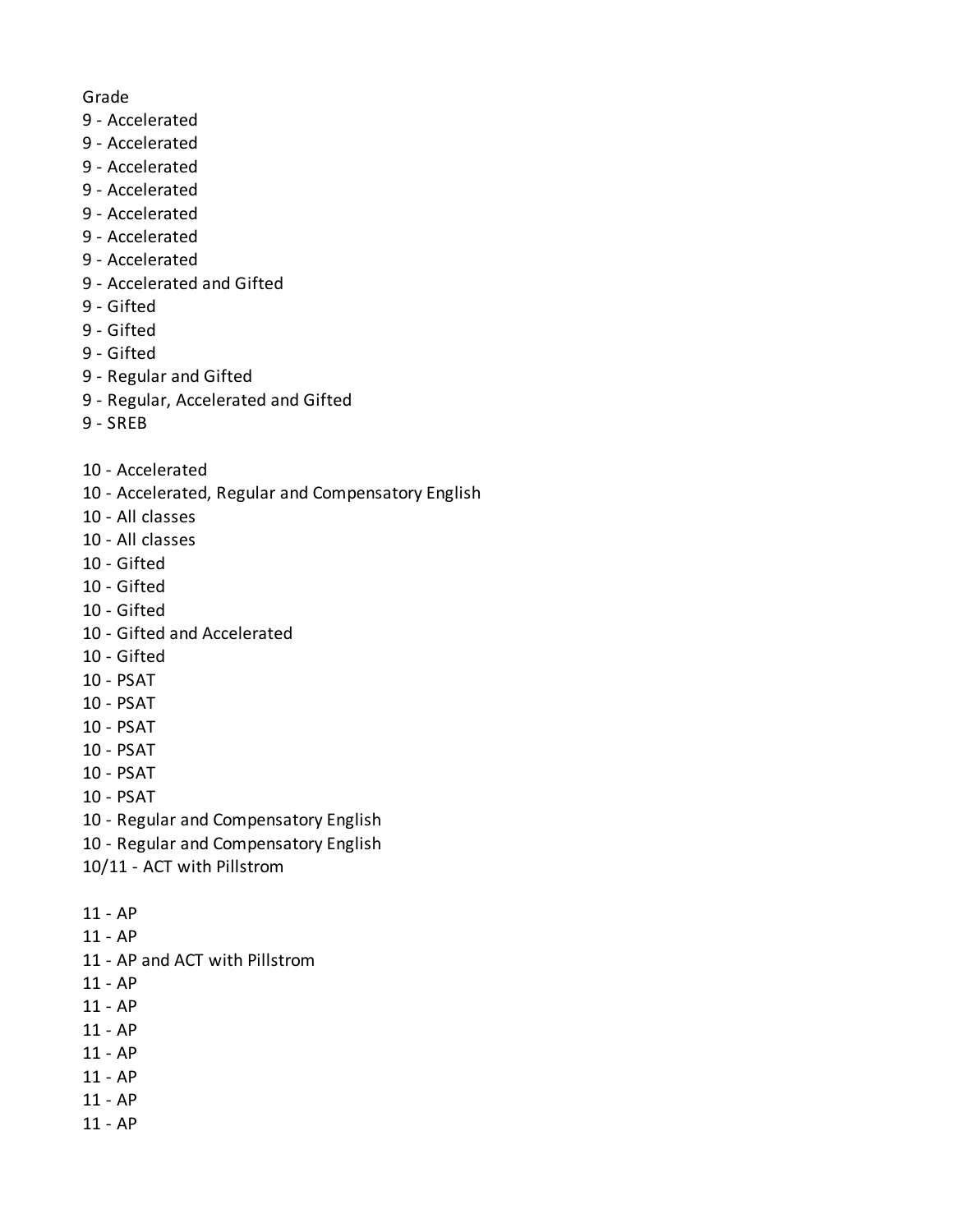## Grade

- 9 Accelerated
- 9 Accelerated
- 9 Accelerated
- 9 Accelerated
- 9 Accelerated
- 9 Accelerated
- 9 Accelerated
- 9 Accelerated and Gifted
- 9 Gifted
- 9 Gifted
- 9 Gifted
- 9 Regular and Gifted
- 9 Regular, Accelerated and Gifted
- 9 SREB
- 10 Accelerated
- 10 Accelerated, Regular and Compensatory English
- 10 All classes
- 10 All classes
- 10 Gifted
- 10 Gifted
- 10 Gifted
- 10 Gifted and Accelerated
- 10 Gifted
- 10 PSAT
- 10 PSAT
- 10 PSAT
- 10 PSAT
- 10 PSAT
- 10 PSAT
- 10 Regular and Compensatory English
- 10 Regular and Compensatory English
- 10/11 ACT with Pillstrom
- 11 AP
- 11 AP
- 11 AP and ACT with Pillstrom
- 11 AP
- 11 AP
- 11 AP
- 11 AP
- 11 AP
- 11 AP
- 11 AP